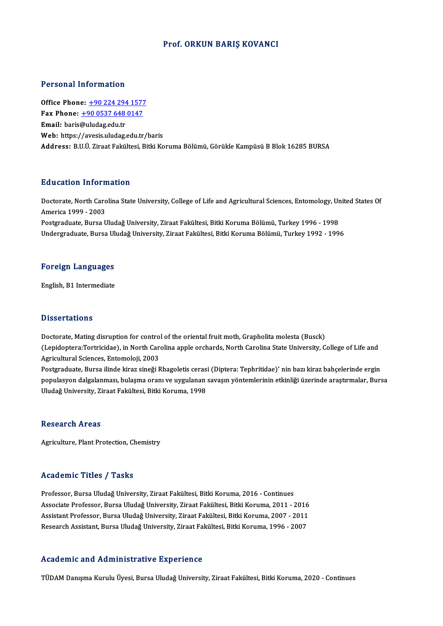#### Prof. ORKUN BARIŞ KOVANCI

#### Personal Information

**Personal Information<br>Office Phone: +90 224 294 1577<br>Fax Phone: +90 0527 649 0147** Fax Phone: <u>+90 224 294 1577</u><br>Fax Phone: <u>+90 0537 648 0147</u><br>Fmail: baris@uludag.edu.tr Office Phone: <u>+90 224 294</u><br>Fax Phone: <u>+90 0537 648</u><br>Email: baris[@uludag.edu.tr](tel:+90 0537 648 0147) Fax Phone:  $\pm$ 90 0537 648 0147<br>Email: baris@uludag.edu.tr<br>Web: https://avesis.uludag.edu.tr/baris Address: B.U.Ü.ZiraatFakültesi,BitkiKorumaBölümü,GörükleKampüsüBBlok16285BURSA

#### Education Information

Education Information<br>Doctorate, North Carolina State University, College of Life and Agricultural Sciences, Entomology, United States Of<br>America 1999 - 2002 Audition Information<br>Doctorate, North Card<br>America 1999 - 2003<br>Restauraduate, Burse U Doctorate, North Carolina State University, College of Life and Agricultural Sciences, Entomology, Ur<br>America 1999 - 2003<br>Postgraduate, Bursa Uludağ University, Ziraat Fakültesi, Bitki Koruma Bölümü, Turkey 1996 - 1998<br>Und

America 1999 - 2003<br>Postgraduate, Bursa Uludağ University, Ziraat Fakültesi, Bitki Koruma Bölümü, Turkey 1996 - 1998<br>Undergraduate, Bursa Uludağ University, Ziraat Fakültesi, Bitki Koruma Bölümü, Turkey 1992 - 1996

# <sub>ondergraduate, Bursa of<br>Foreign Languages</sub> F<mark>oreign Languages</mark><br>English, B1 Intermediate

English, B1 Intermediate<br>Dissertations

Dissertations<br>Doctorate, Mating disruption for control of the oriental fruit moth, Grapholita molesta (Busck)<br>(Lonidontere:Tertricidee), in North Carolina annie erchards, North Carolina State University, C (Lepidoptera:Tortricidae), in North Carolina apple orchards, North Carolina State University, College of Life and<br>Agricultural Sciences, Entomoloji, 2003 Doctorate, Mating disruption for contro<br>(Lepidoptera:Tortricidae), in North Car<br>Agricultural Sciences, Entomoloji, 2003<br>Postaraduate, Bursa ilinda kinar sinaği E (Lepidoptera:Tortricidae), in North Carolina apple orchards, North Carolina State University, College of Life and<br>Agricultural Sciences, Entomoloji, 2003<br>Postgraduate, Bursa ilinde kiraz sineği Rhagoletis cerasi (Diptera:

Agricultural Sciences, Entomoloji, 2003<br>Postgraduate, Bursa ilinde kiraz sineği Rhagoletis cerasi (Diptera: Tephritidae)' nin bazı kiraz bahçelerinde ergin<br>populasyon dalgalanması, bulaşma oranı ve uygulanan savaşın yöntem Postgraduate, Bursa ilinde kiraz sineği Rhagoletis ceras:<br>populasyon dalgalanması, bulaşma oranı ve uygulanan<br>Uludağ University, Ziraat Fakültesi, Bitki Koruma, 1998 Uludağ University, Ziraat Fakültesi, Bitki Koruma, 1998<br>Research Areas

Agriculture, Plant Protection, Chemistry

#### Academic Titles / Tasks

Academic Titles / Tasks<br>Professor, Bursa Uludağ University, Ziraat Fakültesi, Bitki Koruma, 2016 - Continues<br>Assesiste Brofessor, Bursa Uludağ University, Ziraat Fakültesi, Bitki Koruma, 2011 AssociateProfessor,BursaUludağUniversity,ZiraatFakültesi,BitkiKoruma,2011 -2016 Professor, Bursa Uludağ University, Ziraat Fakültesi, Bitki Koruma, 2016 - Continues<br>Associate Professor, Bursa Uludağ University, Ziraat Fakültesi, Bitki Koruma, 2011 - 2016<br>Assistant Professor, Bursa Uludağ University, Z Associate Professor, Bursa Uludağ University, Ziraat Fakültesi, Bitki Koruma, 2011 - 2016<br>Assistant Professor, Bursa Uludağ University, Ziraat Fakültesi, Bitki Koruma, 2007 - 2011<br>Research Assistant, Bursa Uludağ Universit Research Assistant, Bursa Uludağ University, Ziraat Fakültesi, Bitki Koruma, 1996 - 2007<br>Academic and Administrative Experience

TÜDAM Danışma Kurulu Üyesi, Bursa Uludağ University, Ziraat Fakültesi, Bitki Koruma, 2020 - Continues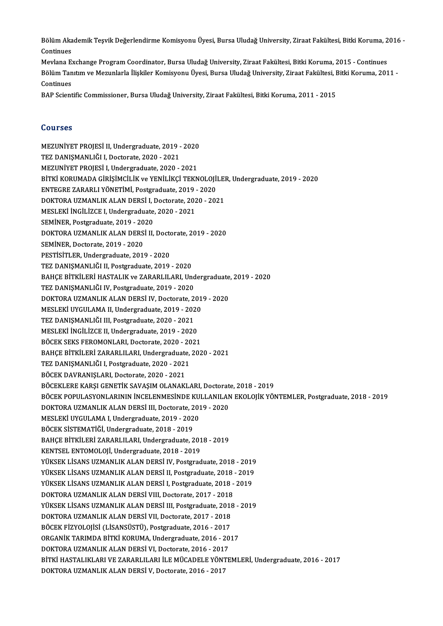Bölüm Akademik Teşvik Değerlendirme Komisyonu Üyesi, Bursa Uludağ University, Ziraat Fakültesi, Bitki Koruma, 2016 -<br>Continues Bölüm Aka<br>Continues<br>Meylana Ex Bölüm Akademik Teşvik Değerlendirme Komisyonu Üyesi, Bursa Uludağ University, Ziraat Fakültesi, Bitki Koruma, 2<br>Continues<br>Mevlana Exchange Program Coordinator, Bursa Uludağ University, Ziraat Fakültesi, Bitki Koruma, 2015

Continues<br>Mevlana Exchange Program Coordinator, Bursa Uludağ University, Ziraat Fakültesi, Bitki Koruma, 2015 - Continues<br>Bölüm Tanıtım ve Mezunlarla İlişkiler Komisyonu Üyesi, Bursa Uludağ University, Ziraat Fakültesi, Bi Mevlana E<mark>:</mark><br>Bölüm Tan<br>Continues<br>BAB Scient Bölüm Tanıtım ve Mezunlarla İlişkiler Komisyonu Üyesi, Bursa Uludağ University, Ziraat Fakültesi, I<br>Continues<br>BAP Scientific Commissioner, Bursa Uludağ University, Ziraat Fakültesi, Bitki Koruma, 2011 - 2015

BAP Scientific Commissioner, Bursa Uludağ University, Ziraat Fakültesi, Bitki Koruma, 2011 - 2015<br>Courses

Courses<br>MEZUNİYET PROJESİ II, Undergraduate, 2019 - 2020<br>TEZ DANISMANI JÖLL Destarate, 2020 - 2021 TEZUNİYET PROJESİ II, Undergraduate, 2019 -<br>TEZ DANIŞMANLIĞI I, Doctorate, 2020 - 2021<br>MEZUNİYET PROJESİ I, Undergraduate, 2020 MEZUNİYET PROJESİ II, Undergraduate, 2019 - 2020<br>TEZ DANIŞMANLIĞI I, Doctorate, 2020 - 2021<br>MEZUNİYET PROJESİ I, Undergraduate, 2020 - 2021<br>PİTKİ KORUMADA ÇİRİSİMÇİLİK ve YENİLİKÇİ TEKN TEZ DANIŞMANLIĞI I, Doctorate, 2020 - 2021<br>MEZUNİYET PROJESİ I, Undergraduate, 2020 - 2021<br>BİTKİ KORUMADA GİRİŞİMCİLİK ve YENİLİKÇİ TEKNOLOJİLER, Undergraduate, 2019 - 2020<br>ENTECRE ZARARLI VÖNETİMİ, Bostaraduata, 2019, ... MEZUNİYET PROJESİ I, Undergraduate, 2020 - 2021<br>BİTKİ KORUMADA GİRİŞİMCİLİK ve YENİLİKÇİ TEKNOLOJİ<br>ENTEGRE ZARARLI YÖNETİMİ, Postgraduate, 2019 - 2020<br>DOKTORA UZMANLIK ALAN DERSİ I, Destersta, 2020 - 202 BİTKİ KORUMADA GİRİŞİMCİLİK ve YENİLİKÇİ TEKNOLOJİLEI<br>ENTEGRE ZARARLI YÖNETİMİ, Postgraduate, 2019 - 2020<br>DOKTORA UZMANLIK ALAN DERSİ I, Doctorate, 2020 - 2021<br>MESLEKİ İNCİLİZCE I Undergraduate, 2020 - 2021 ENTEGRE ZARARLI YÖNETİMİ, Postgraduate, 2019<br>DOKTORA UZMANLIK ALAN DERSİ I, Doctorate, 202<br>MESLEKİ İNGİLİZCE I, Undergraduate, 2020 - 2021<br>SEMİNER Bostgraduata, 2019, 2020 DOKTORA UZMANLIK ALAN DERSİ I, I<br>MESLEKİ İNGİLİZCE I, Undergraduate,<br>SEMİNER, Postgraduate, 2019 - 2020<br>DOKTORA UZMANLIK ALAN DERSİ II MESLEKİ İNGİLİZCE I, Undergraduate, 2020 - 2021<br>SEMİNER, Postgraduate, 2019 - 2020<br>DOKTORA UZMANLIK ALAN DERSİ II, Doctorate, 2019 - 2020<br>SEMİNER, Postarate, 2010, 2020 SEMİNER, Postgraduate, 2019 - 2020<br>DOKTORA UZMANLIK ALAN DERSİ II, Doct<br>SEMİNER, Doctorate, 2019 - 2020<br>PESTİSİTLER, Undergraduate, 2019 - 2020 DOKTORA UZMANLIK ALAN DERSİ II, Docto<br>SEMİNER, Doctorate, 2019 - 2020<br>PESTİSİTLER, Undergraduate, 2019 - 2020<br>TEZ DANISMANLIĞLIL Bostaraduate, 2019 TEZ DANIŞMANLIĞI II, Postgraduate, 2019 - 2020 PESTİSİTLER, Undergraduate, 2019 - 2020<br>TEZ DANIŞMANLIĞI II, Postgraduate, 2019 - 2020<br>BAHÇE BİTKİLERİ HASTALIK ve ZARARLILARI, Undergraduate, 2019 - 2020<br>TEZ DANISMANLIĞI IV, Postgraduata, 2019 - 2020 TEZ DANIŞMANLIĞI II, Postgraduate, 2019 - 2020<br>BAHÇE BİTKİLERİ HASTALIK ve ZARARLILARI, Und<br>TEZ DANIŞMANLIĞI IV, Postgraduate, 2019 - 2020<br>DOKTOBA UZMANLIK ALAN DERSİ IV, Doctorate, 2 BAHÇE BİTKİLERİ HASTALIK ve ZARARLILARI, Undergraduate<br>TEZ DANIŞMANLIĞI IV, Postgraduate, 2019 - 2020<br>DOKTORA UZMANLIK ALAN DERSİ IV, Doctorate, 2019 - 2020<br>MESLEKİ UYCULAMA IL Undergraduate, 2019 - 2020 TEZ DANIŞMANLIĞI IV, Postgraduate, 2019 - 2020<br>DOKTORA UZMANLIK ALAN DERSİ IV, Doctorate, 2019 - 2020<br>MESLEKİ UYGULAMA II, Undergraduate, 2019 - 2020 DOKTORA UZMANLIK ALAN DERSİ IV, Doctorate, 2<br>MESLEKİ UYGULAMA II, Undergraduate, 2019 - 202<br>TEZ DANIŞMANLIĞI III, Postgraduate, 2020 - 2021<br>MESLEKİ İNCİLİZCE II, Undergraduate, 2019, - 2020 MESLEKİ UYGULAMA II, Undergraduate, 2019 - 2020<br>TEZ DANIŞMANLIĞI III, Postgraduate, 2020 - 2021<br>MESLEKİ İNGİLİZCE II, Undergraduate, 2019 - 2020<br>PÖCEK SEKS EEROMONI ARI, Dostarate, 2020, - 2021 TEZ DANIŞMANLIĞI III, Postgraduate, 2020 - 2021<br>MESLEKİ İNGİLİZCE II, Undergraduate, 2019 - 2020<br>BÖCEK SEKS FEROMONLARI, Doctorate, 2020 - 2021<br>BAHCE BİTKİLERİ ZARARLILARI, Undergraduate, 202 MESLEKİ İNGİLİZCE II, Undergraduate, 2019 - 2020<br>BÖCEK SEKS FEROMONLARI, Doctorate, 2020 - 2021<br>BAHÇE BİTKİLERİ ZARARLILARI, Undergraduate, 2020 - 2021<br>TEZ DANISMANI JÖLL Bostanaduate, 2020 - 2021 BÖCEK SEKS FEROMONLARI, Doctorate, 2020 - 20<br>BAHÇE BİTKİLERİ ZARARLILARI, Undergraduate,<br>TEZ DANIŞMANLIĞI I, Postgraduate, 2020 - 2021<br>BÖCEK DAVRANISI ARI, Doctorate, 2020 - 2021 BAHÇE BİTKİLERİ ZARARLILARI, Undergraduate<br>TEZ DANIŞMANLIĞI I, Postgraduate, 2020 - 2021<br>BÖCEK DAVRANIŞLARI, Doctorate, 2020 - 2021<br>BÖCEKLEPE KARSI CENETİK SAVASIM OLANAKI TEZ DANIŞMANLIĞI I, Postgraduate, 2020 - 2021<br>BÖCEK DAVRANIŞLARI, Doctorate, 2020 - 2021<br>BÖCEKLERE KARŞI GENETİK SAVAŞIM OLANAKLARI, Doctorate, 2018 - 2019 BÖCEK DAVRANIŞLARI, Doctorate, 2020 - 2021<br>BÖCEKLERE KARŞI GENETİK SAVAŞIM OLANAKLARI, Doctorate, 2018 - 2019<br>BÖCEK POPULASYONLARININ İNCELENMESİNDE KULLANILAN EKOLOJİK YÖNTEMLER, Postgraduate, 2018 - 2019<br>DOKTORA UZMANLIK BÖCEKLERE KARŞI GENETİK SAVAŞIM OLANAKLARI, Doctorat<br>BÖCEK POPULASYONLARININ İNCELENMESİNDE KULLANILAN<br>DOKTORA UZMANLIK ALAN DERSİ III, Doctorate, 2019 - 2020<br>MESLEKİ UYCULAMA LUndararadusta 2019, 2020 BÖCEK POPULASYONLARININ İNCELENMESİNDE KU<br>DOKTORA UZMANLIK ALAN DERSİ III, Doctorate, 201<br>MESLEKİ UYGULAMA I, Undergraduate, 2019 - 2020<br>PÖCEK SİSTEMATİĞİ Undergraduate, 2019 - 2019 DOKTORA UZMANLIK ALAN DERSİ III, Doctorate, 2<br>MESLEKİ UYGULAMA I, Undergraduate, 2019 - 202<br>BÖCEK SİSTEMATİĞİ, Undergraduate, 2018 - 2019<br>BAHCE BİTKİLERİ ZARARLILARL Undergraduate, 2 BÖCEK SİSTEMATİĞİ, Undergraduate, 2018 - 2019<br>BAHÇE BİTKİLERİ ZARARLILARI, Undergraduate, 2018 - 2019 KENTSEL ENTOMOLOJİ, Undergraduate, 2018 - 2019 BAHÇE BİTKİLERİ ZARARLILARI, Undergraduate, 2018 - 2019<br>KENTSEL ENTOMOLOJİ, Undergraduate, 2018 - 2019<br>YÜKSEK LİSANS UZMANLIK ALAN DERSİ IV, Postgraduate, 2018 - 2019<br>YÜKSEK LİSANS UZMANLIK ALAN DERSİ IL Bostgraduate, 2019 KENTSEL ENTOMOLOJİ, Undergraduate, 2018 - 2019<br>YÜKSEK LİSANS UZMANLIK ALAN DERSİ IV, Postgraduate, 2018 - 2019<br>YÜKSEK LİSANS UZMANLIK ALAN DERSİ II, Postgraduate, 2018 - 2019<br>YÜKSEK LİSANS UZMANLIK ALAN DERSİ I Postgraduat YÜKSEK LİSANS UZMANLIK ALAN DERSİ IV, Postgraduate, 2018 - 2019<br>YÜKSEK LİSANS UZMANLIK ALAN DERSİ II, Postgraduate, 2018 - 2019<br>YÜKSEK LİSANS UZMANLIK ALAN DERSİ I, Postgraduate, 2018 - 2019<br>DOKTORA UZMANLIK ALAN DERSİ VII YÜKSEK LİSANS UZMANLIK ALAN DERSİ II, Postgraduate, 2018 -<br>YÜKSEK LİSANS UZMANLIK ALAN DERSİ I, Postgraduate, 2018 -<br>DOKTORA UZMANLIK ALAN DERSİ VIII, Doctorate, 2017 - 2018<br>YÜKSEK LİSANS UZMANLIK ALAN DERSİ III, Bostgradu YÜKSEK LİSANS UZMANLIK ALAN DERSİ I, Postgraduate, 2018 - 2019<br>DOKTORA UZMANLIK ALAN DERSİ VIII, Doctorate, 2017 - 2018<br>YÜKSEK LİSANS UZMANLIK ALAN DERSİ III, Postgraduate, 2018 - 2019<br>DOKTORA UZMANLIK ALAN DERSİ VIL Dosta DOKTORA UZMANLIK ALAN DERSİ VIII, Doctorate, 2017 - 2018<br>YÜKSEK LİSANS UZMANLIK ALAN DERSİ III, Postgraduate, 2018<br>DOKTORA UZMANLIK ALAN DERSİ VII, Doctorate, 2017 - 2018<br>PÖCEK EİZVOLOUSİ (LİSANSÜSTÜ), Postgraduate, 2016 -YÜKSEK LİSANS UZMANLIK ALAN DERSİ III, Postgraduate, 2018<br>DOKTORA UZMANLIK ALAN DERSİ VII, Doctorate, 2017 - 2018<br>BÖCEK FİZYOLOJİSİ (LİSANSÜSTÜ), Postgraduate, 2016 - 2017<br>OPCANİK TARIMDA BİTKİ KORUMA Undergraduate, 2016 -DOKTORA UZMANLIK ALAN DERSİ VII, Doctorate, 2017 - 2018<br>BÖCEK FİZYOLOJİSİ (LİSANSÜSTÜ), Postgraduate, 2016 - 2017<br>ORGANİK TARIMDA BİTKİ KORUMA, Undergraduate, 2016 - 2017<br>DOKTORA UZMANLIK ALAN DERSİ VI, Doctorata 2016 - 20 BÖCEK FİZYOLOJİSİ (LİSANSÜSTÜ), Postgraduate, 2016 - 2017<br>ORGANİK TARIMDA BİTKİ KORUMA, Undergraduate, 2016 - 2017 BİTKİ HASTALIKLARI VE ZARARLILARI İLE MÜCADELE YÖNTEMLERİ, Undergraduate, 2016 - 2017<br>DOKTORA UZMANLIK ALAN DERSİ V, Doctorate, 2016 - 2017 DOKTORA UZMANLIK ALAN DERSİ VI, Doctorate, 2016 - 2017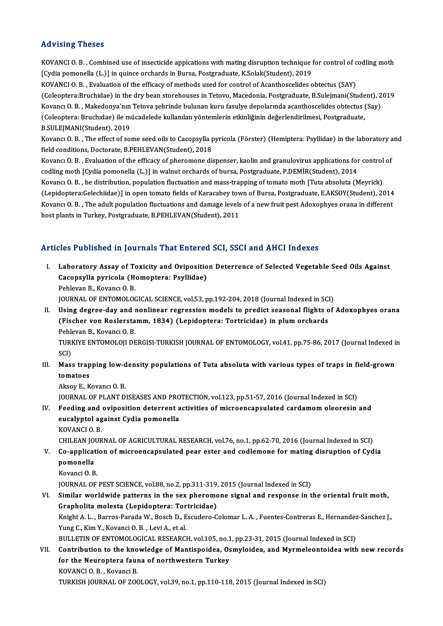### Advising Theses

Advising Theses<br>KOVANCI O.B. , Combined use of insecticide appications with mating disruption technique for control of codling moth<br>[Cydia nomonal]s (L.)] in quince orghands in Burga, Bestanaduste, K.Salak(Student), 2019. rea violing interests<br>KOVANCI O. B. , Combined use of insecticide appications with mating disruption technique i<br>[Cydia pomonella (L.)] in quince orchards in Bursa, Postgraduate, K.Solak(Student), 2019<br>KOVANCLO, B. , Evolu [Cydia pomonella (L.)] in quince orchards in Bursa, Postgraduate, K.Solak(Student), 2019<br>KOVANCI O. B. , Evaluation of the efficacy of methods used for control of Acanthoscelides obtectus (SAY) (Cydia pomonella (L.)] in quince orchards in Bursa, Postgraduate, K.Solak(Student), 2019<br>KOVANCI O. B. , Evaluation of the efficacy of methods used for control of Acanthoscelides obtectus (SAY)<br>(Coleoptera:Bruchidae) in th KOVANCI O. B. , Evaluation of the efficacy of methods used for control of Acanthoscelides obtectus (SAY)<br>(Coleoptera:Bruchidae) in the dry bean storehouses in Tetovo, Macedonia, Postgraduate, B.Sulejmani(Student), 2<br>Kovanc (Coleoptera:Bruchidae) in the dry bean storehouses in Tetovo, Macedonia, Postgraduate, B.Sulejmani(Stude<br>Kovancı O. B. , Makedonya'nın Tetova şehrinde bulunan kuru fasulye depolarında acanthoscelides obtectus (<br>Coleoptera: Kovancı O. B. , Makedonya'nın<br>(Coleoptera: Bruchıdae) ile m<br>B.SULEJMANI(Student), 2019<br>Kovangı O. B. - The effect of sol (Coleoptera: Bruchidae) ile mücadelede kullanılan yöntemlerin etkinliğinin değerlendirilmesi, Postgraduate,<br>B.SULEJMANI(Student), 2019<br>Kovancı O. B. , The effect of some seed oils to Cacopsylla pyricola (Förster) (Hemipter B.SULEJMANI(Student), 2019<br>Kovancı O. B. , The effect of some seed oils to Cacopsylla <sub>]</sub><br>field conditions, Doctorate, B.PEHLEVAN(Student), 2018

Kovancı O. B. , The effect of some seed oils to Cacopsylla pyricola (Förster) (Hemiptera: Psyllidae) in the laboratory a<br>field conditions, Doctorate, B.PEHLEVAN(Student), 2018<br>Kovancı O. B. , Evaluation of the efficacy of Kovancı O. B. , Evaluation of the efficacy of pheromone dispenser, kaolin and granulovirus applications for control of codling moth [Cydia pomonella (L.)] in walnut orchards of bursa, Postgraduate, P.DEMİR(Student), 2014 Kovancı O. B. , Evaluation of the efficacy of pheromone dispenser, kaolin and granulovirus applications for control<br>codling moth [Cydia pomonella (L.)] in walnut orchards of bursa, Postgraduate, P.DEMİR(Student), 2014<br>Kova codling moth [Cydia pomonella (L.)] in walnut orchards of bursa, Postgraduate, P.DEMİR(Student), 2014<br>Kovancı O. B. , he distribution, population fluctuation and mass-trapping of tomato moth [Tuta absoluta (Meyrick)<br>(Lepid Kovancı O. B. , he distribution, population fluctuation and mass-trapping of tomato moth [Tuta absoluta (Meyrick)<br>(Lepidoptera:Gelechiidae)] in open tomato fields of Karacabey town of Bursa, Postgraduate, E.AKSOY(Student), (Lepidoptera:Gelechiidae)] in open tomato fields of Karacabey town of Bursa, Postgraduate, E.AKSOY(Student), 2014<br>Kovancı O. B. , The adult population fluctuations and damage levels of a new fruit pest Adoxophyes orana in

### Articles Published in Journals That Entered SCI, SSCI and AHCI Indexes

rticles Published in Journals That Entered SCI, SSCI and AHCI Indexes<br>I. Laboratory Assay of Toxicity and Oviposition Deterrence of Selected Vegetable Seed Oils Against<br>Caeapevlla pyrisala (Hamantara: Pavllidae) Caco Published III journals That Effected<br>Laboratory Assay of Toxicity and Ovipositio<br>Cacopsylla pyricola (Homoptera: Psyllidae) Laboratory Assay of To<br>Cacopsylla pyricola (H<br>Pehlevan B., Kovancı O. B.<br>JOUPMAL OE ENTOMOLOG Cacopsylla pyricola (Homoptera: Psyllidae)<br>Pehlevan B., Kovancı O. B.<br>JOURNAL OF ENTOMOLOGICAL SCIENCE, vol.53, pp.192-204, 2018 (Journal Indexed in SCI)<br>Heing degree day and nonlinear regression models to predist sessenal

### Pehlevan B., Kovancı O. B.<br>I . USING OF ENTOMOLOGICAL SCIENCE, vol.53, pp.192-204, 2018 (Journal Indexed in SCI)<br>II. Using degree-day and nonlinear regression models to predict seasonal flights of Adoxophyes orana<br>(Fischer (FOURNAL OF ENTOMOLOGICAL SCIENCE, vol.53, pp.192-204, 2018 (Journal Indexed in SCIN)<br>Using degree-day and nonlinear regression models to predict seasonal flights of<br>(Fischer von Roslerstamm, 1834) (Lepidoptera: Tortricida **Using degree-day and l<br>(Fischer von Roslersta)**<br>Pehlevan B., Kovancı O. B.<br>TURKIVE ENTOMOLOU DE (Fischer von Roslerstamm, 1834) (Lepidoptera: Tortricidae) in plum orchards<br>Pehlevan B., Kovancı O. B.<br>TURKIYE ENTOMOLOJI DERGISI-TURKISH JOURNAL OF ENTOMOLOGY, vol.41, pp.75-86, 2017 (Journal Indexed in<br>SCD Pehl<br>TURI<br>SCI)<br>Ması

TURKIYE ENTOMOLOJI DERGISI-TURKISH JOURNAL OF ENTOMOLOGY, vol.41, pp.75-86, 2017 (Journal Indexed i<br>SCI)<br>III. Mass trapping low-density populations of Tuta absoluta with various types of traps in field-grown<br>tomatess. SCI)<br>Mass trap<br>tomatoes<br>Alrou E K Mass trapping low-d<br>tomatoes<br>Aksoy E., Kovancı O. B.<br>JOUPMAL OE BLANT D.

tomatoes<br>Aksoy E., Kovancı O. B.<br>JOURNAL OF PLANT DISEASES AND PROTECTION, vol.123, pp.51-57, 2016 (Journal Indexed in SCI)<br>Feeding and evinesition deterrent astivities of misroensensulated sandamem electesin Aksoy E., Kovancı O. B.<br>JOURNAL OF PLANT DISEASES AND PROTECTION, vol.123, pp.51-57, 2016 (Journal Indexed in SCI)<br>IV. Feeding and oviposition deterrent activities of microencapsulated cardamom oleoresin and

JOURNAL OF PLANT DISEASES AND PRO<br>Feeding and oviposition deterrent a<br>eucalyptol against Cydia pomonella<br>KOVANCLO B eucalyptol against Cydia pomonella<br>KOVANCI O.B. eucalyptol against Cydia pomonella<br>KOVANCI O. B.<br>CHILEAN JOURNAL OF AGRICULTURAL RESEARCH, vol.76, no.1, pp.62-70, 2016 (Journal Indexed in SCI)<br>Co ennligation of misroeneansulated near ester and sodlamene for mating dispu

- KOVANCI O. B.<br>CHILEAN JOURNAL OF AGRICULTURAL RESEARCH, vol.76, no.1, pp.62-70, 2016 (Journal Indexed in SCI)<br>V. Co-application of microencapsulated pear ester and codlemone for mating disruption of Cydia<br>Remanelle CHILEAN JON<br>Co-applicat<br>pomonella<br>Kovangi O. B Co-applicati<br>pomonella<br>Kovanci O. B.<br>JOUPMAL OF pomonella<br>Kovanci O. B.<br>JOURNAL OF PEST SCIENCE, vol.88, no.2, pp.311-319, 2015 (Journal Indexed in SCI)<br>Similar worldwide patterns in the sex pheromene signal and respecte in t
	-

Kovanci O. B.<br>JOURNAL OF PEST SCIENCE, vol.88, no.2, pp.311-319, 2015 (Journal Indexed in SCI)<br>VI. Similar worldwide patterns in the sex pheromone signal and response in the oriental fruit moth,<br>Craphelita melasta (Lonidan JOURNAL OF PEST SCIENCE, vol.88, no.2, pp.311-319,<br>Similar worldwide patterns in the sex pheromo<br>Grapholita molesta (Lepidoptera: Tortricidae)<br>Knight A. J., Barres Barada W. Basch D. Escudare C Similar worldwide patterns in the sex pheromone signal and response in the oriental fruit moth,<br>Grapholita molesta (Lepidoptera: Tortricidae)<br>Knight A. L. , Barros-Parada W., Bosch D., Escudero-Colomar L. A. , Fuentes-Cont Grapholita molesta (Lepidoptera: Tortricidae)<br>Knight A. L. , Barros-Parada W., Bosch D., Escudero-C<br>Yung C., Kim Y., Kovanci O. B. , Levi A., et al. Knight A. L., Barros-Parada W., Bosch D., Escudero-Colomar L. A., Fuentes-Contreras E., Hernandez-Sanchez J.,

Yung C., Kim Y., Kovanci O. B. , Levi A., et al.<br>BULLETIN OF ENTOMOLOGICAL RESEARCH, vol.105, no.1, pp.23-31, 2015 (Journal Indexed in SCI)<br>VII. Contribution to the knowledge of Mantispoidea, Osmyloidea, and Myrmeleontoide BULLETIN OF ENTOMOLOGICAL RESEARCH, vol.105, no.1, pp.23-31, 2015 (Journal Indexed in SCI)<br>Contribution to the knowledge of Mantispoidea, Osmyloidea, and Myrmeleontoidea with<br>for the Neuroptera fauna of northwestern Turkey **Contribution to the kno<br>for the Neuroptera faur<br>KOVANCI O.B., Kovanci B.<br>TURVISH JOURNAL OF 700** 

TURKISH JOURNAL OF ZOOLOGY, vol.39, no.1, pp.110-118, 2015 (Journal Indexed in SCI)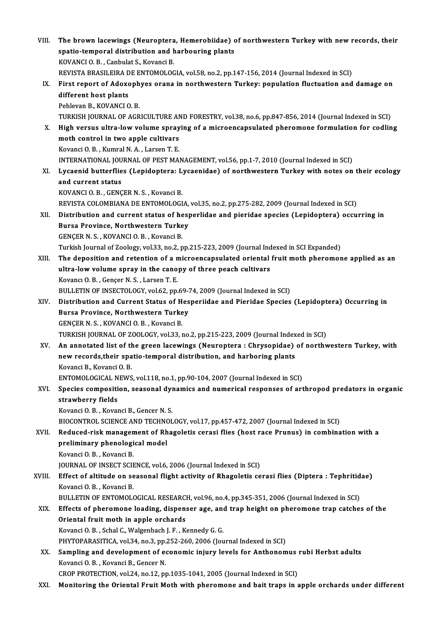| VIII.  | The brown lacewings (Neuroptera, Hemerobiidae) of northwestern Turkey with new records, their        |
|--------|------------------------------------------------------------------------------------------------------|
|        | spatio-temporal distribution and harbouring plants                                                   |
|        | KOVANCI O. B., Canbulat S., Kovanci B.                                                               |
|        | REVISTA BRASILEIRA DE ENTOMOLOGIA, vol.58, no.2, pp.147-156, 2014 (Journal Indexed in SCI)           |
| IX.    | First report of Adoxophyes orana in northwestern Turkey: population fluctuation and damage on        |
|        | different host plants                                                                                |
|        | Pehlevan B., KOVANCI O.B.                                                                            |
|        | TURKISH JOURNAL OF AGRICULTURE AND FORESTRY, vol.38, no.6, pp.847-856, 2014 (Journal Indexed in SCI) |
| X.     | High versus ultra-low volume spraying of a microencapsulated pheromone formulation for codling       |
|        | moth control in two apple cultivars                                                                  |
|        | Kovanci O. B., Kumral N. A., Larsen T. E.                                                            |
|        | INTERNATIONAL JOURNAL OF PEST MANAGEMENT, vol.56, pp.1-7, 2010 (Journal Indexed in SCI)              |
| XI.    | Lycaenid butterflies (Lepidoptera: Lycaenidae) of northwestern Turkey with notes on their ecology    |
|        | and current status                                                                                   |
|        | KOVANCI O. B., GENÇER N. S., Kovanci B.                                                              |
|        | REVISTA COLOMBIANA DE ENTOMOLOGIA, vol.35, no.2, pp.275-282, 2009 (Journal Indexed in SCI)           |
| XII.   | Distribution and current status of hesperlidae and pieridae species (Lepidoptera) occurring in       |
|        | Bursa Province, Northwestern Turkey                                                                  |
|        | GENÇER N. S., KOVANCI O. B., Kovanci B.                                                              |
|        | Turkish Journal of Zoology, vol.33, no.2, pp.215-223, 2009 (Journal Indexed in SCI Expanded)         |
| XIII.  | The deposition and retention of a microencapsulated oriental fruit moth pheromone applied as an      |
|        | ultra-low volume spray in the canopy of three peach cultivars                                        |
|        | Kovancı O. B., Gençer N. S., Larsen T. E.                                                            |
|        | BULLETIN OF INSECTOLOGY, vol.62, pp.69-74, 2009 (Journal Indexed in SCI)                             |
| XIV.   | Distribution and Current Status of Hesperiidae and Pieridae Species (Lepidoptera) Occurring in       |
|        | Bursa Province, Northwestern Turkey                                                                  |
|        | GENÇER N.S., KOVANCIO.B., Kovanci B.                                                                 |
|        | TURKISH JOURNAL OF ZOOLOGY, vol.33, no.2, pp.215-223, 2009 (Journal Indexed in SCI)                  |
| XV.    | An annotated list of the green lacewings (Neuroptera: Chrysopidae) of northwestern Turkey, with      |
|        | new records, their spatio-temporal distribution, and harboring plants                                |
|        | Kovanci B., Kovanci O. B.                                                                            |
|        | ENTOMOLOGICAL NEWS, vol.118, no.1, pp.90-104, 2007 (Journal Indexed in SCI)                          |
| XVI.   | Species composition, seasonal dynamics and numerical responses of arthropod predators in organic     |
|        | strawberry fields                                                                                    |
|        | Kovanci O. B., Kovanci B., Gencer N. S.                                                              |
|        | BIOCONTROL SCIENCE AND TECHNOLOGY, vol.17, pp.457-472, 2007 (Journal Indexed in SCI)                 |
| XVII.  | Reduced-risk management of Rhagoletis cerasi flies (host race Prunus) in combination with a          |
|        | preliminary phenological model                                                                       |
|        | Kovanci O. B., Kovanci B.                                                                            |
|        | JOURNAL OF INSECT SCIENCE, vol.6, 2006 (Journal Indexed in SCI)                                      |
| XVIII. | Effect of altitude on seasonal flight activity of Rhagoletis cerasi flies (Diptera: Tephritidae)     |
|        | Kovanci O. B., Kovanci B.                                                                            |
|        | BULLETIN OF ENTOMOLOGICAL RESEARCH, vol.96, no.4, pp.345-351, 2006 (Journal Indexed in SCI)          |
| XIX.   | Effects of pheromone loading, dispenser age, and trap height on pheromone trap catches of the        |
|        | Oriental fruit moth in apple orchards                                                                |
|        | Kovanci O. B., Schal C., Walgenbach J. F., Kennedy G. G.                                             |
|        | PHYTOPARASITICA, vol.34, no.3, pp.252-260, 2006 (Journal Indexed in SCI)                             |
| XX.    | Sampling and development of economic injury levels for Anthonomus rubi Herbst adults                 |
|        | Kovanci O. B., Kovanci B., Gencer N.                                                                 |
|        | CROP PROTECTION, vol.24, no.12, pp.1035-1041, 2005 (Journal Indexed in SCI)                          |
| XXI.   | Monitoring the Oriental Fruit Moth with pheromone and bait traps in apple orchards under different   |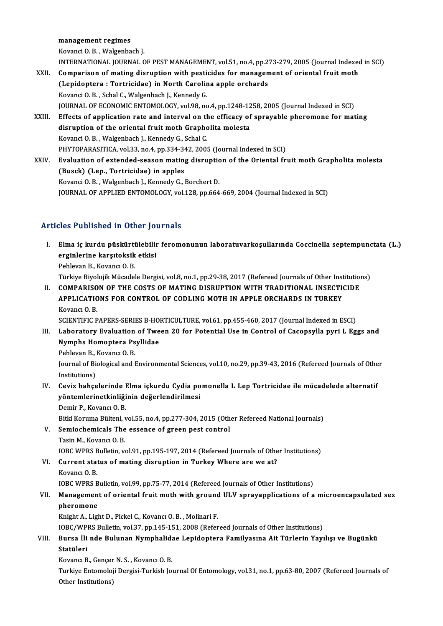#### management regimes

KovanciO.B. ,Walgenbach J.

management regimes<br>Kovanci O. B. , Walgenbach J.<br>INTERNATIONAL JOURNAL OF PEST MANAGEMENT, vol.51, no.4, pp.273-279, 2005 (Journal Indexed in SCI)<br>Comparison of mating disruption with postisides for management of eriental

Kovanci O. B., Walgenbach J.<br>INTERNATIONAL JOURNAL OF PEST MANAGEMENT, vol.51, no.4, pp.273-279, 2005 (Journal Indexed<br>XXII. Comparison of mating disruption with pesticides for management of oriental fruit moth INTERNATIONAL JOURNAL OF PEST MANAGEMENT, vol.51, no.4, pp.2<br>Comparison of mating disruption with pesticides for managen<br>(Lepidoptera : Tortricidae) in North Carolina apple orchards<br>Kovanci O.B., Schal C. Wakaphach L. Konn Comparison of mating disruption with pesti<br>(Lepidoptera : Tortricidae) in North Carolin<br>Kovanci O.B., Schal C., Walgenbach J., Kennedy G.<br>JOUPNAL OF ECONOMIC ENTOMOLOCY, vol 99, no (Lepidoptera : Tortricidae) in North Carolina apple orchards<br>Kovanci O. B., Schal C., Walgenbach J., Kennedy G.<br>JOURNAL OF ECONOMIC ENTOMOLOGY, vol.98, no.4, pp.1248-1258, 2005 (Journal Indexed in SCI)<br>Effects of applicati Kovanci O. B. , Schal C., Walgenbach J., Kennedy G.<br>JOURNAL OF ECONOMIC ENTOMOLOGY, vol.98, no.4, pp.1248-1258, 2005 (Journal Indexed in SCI)<br>XXIII. Effects of application rate and interval on the efficacy of sprayable phe JOURNAL OF ECONOMIC ENTOMOLOGY, vol.98, no.4, pp.1248-12<br>Effects of application rate and interval on the efficacy of<br>disruption of the oriental fruit moth Grapholita molesta<br>Kovanci O.B., Wakaphach L. Konnedy G. Schal G. Kovanci O.B., Walgenbach J., Kennedy G., Schal C. disruption of the oriental fruit moth Grapholita molesta<br>Kovanci O. B., Walgenbach J., Kennedy G., Schal C.<br>PHYTOPARASITICA, vol.33, no.4, pp.334-342, 2005 (Journal Indexed in SCI)<br>Evaluation of extended season mating disp XXIV. Evaluation of extended-season mating disruption of the Oriental fruit moth Grapholita molesta<br>(Busck) (Lep., Tortricidae) in apples PHYTOPARASITICA, vol.33, no.4, pp.334-34<br>Evaluation of extended-season mating<br>(Busck) (Lep., Tortricidae) in apples<br>Kovangi O.B., Welsenbesh J. Konnedy C.J

Kovanci O.B., Walgenbach J., Kennedy G., Borchert D. JOURNAL OF APPLIED ENTOMOLOGY, vol.128, pp.664-669, 2004 (Journal Indexed in SCI)

### Articles Published in Other Journals

I. Elma iç kurdu püskürtülebilir feromonunun laboratuvarkoşul arında Coccinel a septempunctata (L.) erginlerine karşıtoksik etkisi<br>Elma iç kurdu püskürtülebilin<br>Pehlavan B. Kavançı O. B Elma iç kurdu püskürti<br>erginlerine karşıtoksik<br>Pehlevan B., Kovancı O. B.<br>Türkiye Biyelejik Müsadel erginlerine karşıtoksik etkisi<br>Pehlevan B., Kovancı O. B.<br>Türkiye Biyolojik Mücadele Dergisi, vol.8, no.1, pp.29-38, 2017 (Refereed Journals of Other Institutions)<br>COMBARISON OF THE COSTS OF MATING DISRIIRTION WITH TRADITI

Pehlevan B., Kovancı O. B.<br>Türkiye Biyolojik Mücadele Dergisi, vol.8, no.1, pp.29-38, 2017 (Refereed Journals of Other Institution<br>II. COMPARISON OF THE COSTS OF MATING DISRUPTION WITH TRADITIONAL INSECTICIDE<br>APPLICATIONS Türkiye Biyolojik Mücadele Dergisi, vol.8, no.1, pp.29-38, 2017 (Refereed Journals of Other Inst<br>COMPARISON OF THE COSTS OF MATING DISRUPTION WITH TRADITIONAL INSECTION<br>APPLICATIONS FOR CONTROL OF CODLING MOTH IN APPLE ORC COMPARISO<br>APPLICATIC<br>Kovancı O. B.<br>SCENTIELC B APPLICATIONS FOR CONTROL OF CODLING MOTH IN APPLE ORCHARDS IN TURKEY<br>Kovancı O. B.<br>SCIENTIFIC PAPERS-SERIES B-HORTICULTURE, vol.61, pp.455-460, 2017 (Journal Indexed in ESCI)<br>Laboratory Evolugian of Tween 20 for Betential

Kovancı O. B.<br>SCIENTIFIC PAPERS-SERIES B-HORTICULTURE, vol.61, pp.455-460, 2017 (Journal Indexed in ESCI)<br>III. Laboratory Evaluation of Tween 20 for Potential Use in Control of Cacopsylla pyri L Eggs and<br>Numphe Homonto SCIENTIFIC PAPERS-SERIES B-HO<br>Laboratory Evaluation of Twe<br>Nymphs Homoptera Psyllidae<br>Pehlevan B. Kevang O. B III. Laboratory Evaluation of Tween 20 for Potential Use in Control of Cacopsylla pyri L Eggs and Nymphs Homoptera Psyllidae

Pehlevan B., Kovancı O. B.

Journal of Biological and Environmental Sciences, vol.10, no.29, pp.39-43, 2016 (Refereed Journals of Other<br>Institutions) Journal of Biological and Environmental Sciences, vol.10, no.29, pp.39-43, 2016 (Refereed Journals of Othe<br>Institutions)<br>IV. Ceviz bahçelerinde Elma içkurdu Cydia pomonella L Lep Tortricidae ile mücadelede alternatif<br>Türki

## Institutions)<br>Ceviz bahçelerinde Elma içkurdu Cydia po<br>yöntemlerinetkinliğinin değerlendirilmesi<br>Pemir B. Kevang: O. B Ceviz bahçelerinde l<br>yöntemlerinetkinliği<br>Demir P., Kovancı O. B.<br>Bitki Komuna Bültani r yöntemlerinetkinliğinin değerlendirilmesi<br>Demir P., Kovancı O. B.<br>Bitki Koruma Bülteni, vol.55, no.4, pp.277-304, 2015 (Other Refereed National Journals)<br>Semieshemisels The essense of green pest sentrel

Demir P., Kovancı O. B.<br>Bitki Koruma Bülteni, vol.55, no.4, pp.277-304, 2015 (Oth<br>V. Semiochemicals The essence of green pest control<br>Tasin M. Kovancı O. B. Bitki Koruma Bülteni, v<br>Semiochemicals The<br>Tasin M., Kovancı O. B.<br>JOBC WPPS Bulletin *ve* Semiochemicals The essence of green pest control<br>Tasin M., Kovancı O. B.<br>IOBC WPRS Bulletin, vol.91, pp.195-197, 2014 (Refereed Journals of Other Institutions)<br>Current status of mating discuntion in Turkey Where are we at?

## Tasin M., Kovancı O. B.<br>IOBC WPRS Bulletin, vol.91, pp.195-197, 2014 (Refereed Journals of Othe<br>VI. Current status of mating disruption in Turkey Where are we at?<br>Kovang O. B **IOBC WPRS E<br>Current stat<br>Kovancı O. B.**<br>JOBC WPPS E Current status of mating disruption in Turkey Where are we at?<br>Kovancı O. B.<br>IOBC WPRS Bulletin, vol.99, pp.75-77, 2014 (Refereed Journals of Other Institutions)<br>Managament of exientel fuut meth with ground III V ensysappl

# Kovancı O. B.<br>IOBC WPRS Bulletin, vol.99, pp.75-77, 2014 (Refereed Journals of Other Institutions)<br>VII. Management of oriental fruit moth with ground ULV sprayapplications of a microencapsulated sex<br>pheromone **IOBC WPRS B**<br>Managemen<br>pheromone<br>Knight A, Ligh

Knight A., Light D., Pickel C., Kovancı O. B., Molinari F.

IOBC/WPRS Bulletin, vol.37, pp.145-151, 2008 (Refereed Journals of Other Institutions)

## Knight A., Light D., Pickel C., Kovancı O. B. , Molinari F.<br>IOBC/WPRS Bulletin, vol.37, pp.145-151, 2008 (Refereed Journals of Other Institutions)<br>VIII. Bursa İli nde Bulunan Nymphalidae Lepidoptera Familyasına Ait Tür IOBC/WP<br><mark>Bursa İli</mark><br>Statüleri<br>Kovang B Bursa İli nde Bulunan Nymphalida<br>Statüleri<br>Kovancı B., Gençer N. S. , Kovancı O. B.<br>Turkiye Entemaleji Dergisi Turkish Io

Statüleri<br>Kovancı B., Gençer N. S. , Kovancı O. B.<br>Turkiye Entomoloji Dergisi-Turkish Journal Of Entomology, vol.31, no.1, pp.63-80, 2007 (Refereed Journals of<br>Other Institutione) Kovancı B., Gençer<br>Turkiye Entomoloj<br>Other Institutions)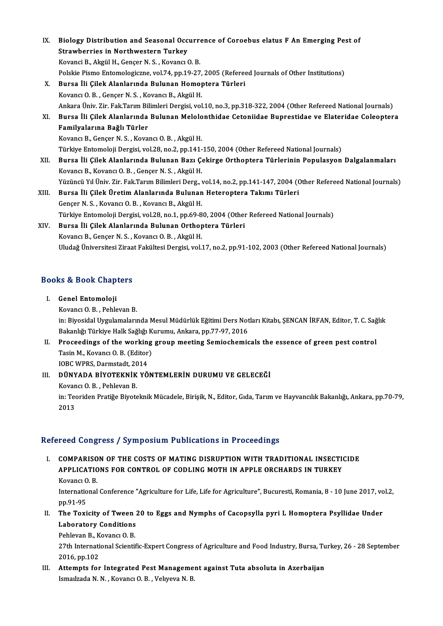| IX.   | Biology Distribution and Seasonal Occurrence of Coroebus elatus F An Emerging Pest of                               |
|-------|---------------------------------------------------------------------------------------------------------------------|
|       | <b>Strawberries in Northwestern Turkey</b>                                                                          |
|       | Kovanci B., Akgül H., Gençer N. S., Kovancı O. B.                                                                   |
|       | Polskie Pismo Entomologiczne, vol.74, pp.19-27, 2005 (Refereed Journals of Other Institutions)                      |
| X.    | Bursa İli Çilek Alanlarında Bulunan Homoptera Türleri                                                               |
|       | Kovancı O. B., Gençer N. S., Kovancı B., Akgül H.                                                                   |
|       | Ankara Üniv. Zir. Fak.Tarım Bilimleri Dergisi, vol.10, no.3, pp.318-322, 2004 (Other Refereed National Journals)    |
| XI.   | Bursa İli Çilek Alanlarında Bulunan Melolonthidae Cetoniidae Buprestidae ve Elateridae Coleoptera                   |
|       | Familyalarına Bağlı Türler                                                                                          |
|       | Kovancı B., Gençer N. S., Kovancı O. B., Akgül H.                                                                   |
|       | Türkiye Entomoloji Dergisi, vol.28, no.2, pp.141-150, 2004 (Other Refereed National Journals)                       |
| XII.  | Bursa İli Çilek Alanlarında Bulunan Bazı Çekirge Orthoptera Türlerinin Populasyon Dalgalanmaları                    |
|       | Kovancı B., Kovancı O. B., Gençer N. S., Akgül H.                                                                   |
|       | Yüzüncü Yıl Üniv. Zir. Fak.Tarım Bilimleri Derg., vol.14, no.2, pp.141-147, 2004 (Other Refereed National Journals) |
| XIII. | Bursa İli Çilek Üretim Alanlarında Bulunan Heteroptera Takımı Türleri                                               |
|       | Gençer N. S., Kovancı O. B., Kovancı B., Akgül H.                                                                   |
|       | Türkiye Entomoloji Dergisi, vol.28, no.1, pp.69-80, 2004 (Other Refereed National Journals)                         |
| XIV.  | Bursa İli Çilek Alanlarında Bulunan Orthoptera Türleri                                                              |
|       | Kovancı B., Gençer N.S., Kovancı O.B., Akgül H.                                                                     |
|       | Uludağ Üniversitesi Ziraat Fakültesi Dergisi, vol.17, no.2, pp.91-102, 2003 (Other Refereed National Journals)      |

oludag oniversitesi ziraa<br>Books & Book Chapters

- ooks & Book Chap<br>I. Genel Entomoloji<br>Kavang O.B. Babla I. Genel Entomoloji<br>Kovancı O.B., Pehlevan B. Genel Entomoloji<br>Kovancı O. B. , Pehlevan B.<br>in: Biyosidal Uygulamalarında Mesul Müdürlük Eğitimi Ders Notları Kitabı, ŞENCAN İRFAN, Editor, T. C. Sağlık<br>Rekanlığı Türkiye Halk Sağlığı Kurumu, Ankara, pp.77,97,2016 Kovancı O. B. , Pehlevan B.<br>in: Biyosidal Uygulamalarında Mesul Müdürlük Eğitimi Ders Not<br>Bakanlığı Türkiye Halk Sağlığı Kurumu, Ankara, pp.77-97, 2016<br>Proseodings of the Working sroup meeting Somioshomis in: Biyosidal Uygulamalarında Mesul Müdürlük Eğitimi Ders Notları Kitabı, ŞENCAN İRFAN, Editor, T. C. Sağ<br>Bakanlığı Türkiye Halk Sağlığı Kurumu, Ankara, pp.77-97, 2016<br>II. Proceedings of the working group meeting Semiochem
- Bakanlığı Türkiye Halk Sağlığı K<br>Proceedings of the working<br>Tasin M., Kovancı O. B. (Editor)<br>JOBC WPPS Darmstadt, 2014 **Proceedings of the working<br>Tasin M., Kovanci O. B. (Editor)<br>IOBC WPRS, Darmstadt, 2014<br>DÜNYADA PIVOTEKNIK VÖ** Tasin M., Kovancı O. B. (Editor)<br>IOBC WPRS, Darmstadt, 2014<br>III. DÜNYADA BİYOTEKNİK YÖNTEMLERİN DURUMU VE GELECEĞİ<br>Kovang O. B. Bablayan B

IOBC WPRS, Darmstadt, 20<br>DÜNYADA BİYOTEKNİK<br>Kovancı O. B. , Pehlevan B.<br>in: Teoridan Bratiče Biyota DÜNYADA BİYOTEKNİK YÖNTEMLERİN DURUMU VE GELECEĞİ<br>Kovancı O. B. , Pehlevan B.<br>in: Teoriden Pratiğe Biyoteknik Mücadele, Birişik, N., Editor, Gıda, Tarım ve Hayvancılık Bakanlığı, Ankara, pp.70-79,<br>2012 Kovan<br>in: Teo<br>2013

# 2013<br>Refereed Congress / Symposium Publications in Proceedings

efereed Congress / Symposium Publications in Proceedings<br>I. COMPARISON OF THE COSTS OF MATING DISRUPTION WITH TRADITIONAL INSECTICIDE<br>APPLICATIONS FOR CONTROL OF CODLING MOTH IN APPLE ORCHARDS IN TURKEY TOOL COMPARISON OF THE COSTS OF MATING DISRUPTION WITH TRADITIONAL INSECTION<br>APPLICATIONS FOR CONTROL OF CODLING MOTH IN APPLE ORCHARDS IN TURKEY COMPARISO<br>APPLICATIC<br>Kovancı O. B.<br>International APPLICATIONS FOR CONTROL OF CODLING MOTH IN APPLE ORCHARDS IN TURKEY<br>Kovancı O. B.<br>International Conference "Agriculture for Life, Life for Agriculture", Bucuresti, Romania, 8 - 10 June 2017, vol.2,<br>nn 91 95

Kovancı O<br>Internatio<br>pp.91-95<br>The Texi International Conference "Agriculture for Life, Life for Agriculture", Bucuresti, Romania, 8 - 10 June 2017, vo<br>pp.91-95<br>II. The Toxicity of Tween 20 to Eggs and Nymphs of Cacopsylla pyri L Homoptera Psyllidae Under<br>Labora

pp.91-95<br>The Toxicity of Tween :<br>Laboratory Conditions<br>Pehlevan B. Kevang O. B. Laboratory Conditions

Pehlevan B., Kovancı O. B.

27th International Scientific-Expert Congress of Agriculture and Food Industry, Bursa, Turkey, 26 - 28 September<br>2016, pp.102 27th International Scientific-Expert Congress of Agriculture and Food Industry, Bursa, Tu<br>2016, pp.102<br>III. Attempts for Integrated Pest Management against Tuta absoluta in Azerbaijan<br>Ismailzada N. N. Kovangi O. B. Volugya

2016, pp.102<br>Attempts for Integrated Pest Manageme<br>Ismaılzada N. N. , Kovancı O. B. , Velıyeva N. B.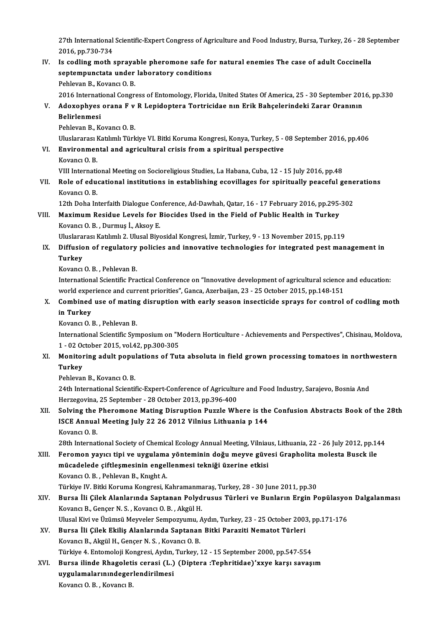27th International Scientific-Expert Congress of Agriculture and Food Industry, Bursa, Turkey, 26 - 28 September<br>2016, pp.720,724 27th International<br>2016, pp.730-734<br>Is codling moth 27th International Scientific-Expert Congress of Agriculture and Food Industry, Bursa, Turkey, 26 - 28 Se<br>2016, pp.730-734<br>IV. Is codling moth sprayable pheromone safe for natural enemies The case of adult Coccinella<br>2016

### 2016, pp.730-734<br>Is codling moth sprayable pheromone safe fo<br>septempunctata under laboratory conditions<br>Pehlavan B. Kavang O. B Is codling moth spraya<br>septempunctata under<br>Pehlevan B., Kovancı O.B.<br>2016 International Congr septempunctata under laboratory conditions<br>Pehlevan B., Kovancı O. B.<br>2016 International Congress of Entomology, Florida, United States Of America, 25 - 30 September 2016, pp.330

## Pehlevan B., Kovancı O. B.<br>2016 International Congress of Entomology, Florida, United States Of America, 25 - 30 September 201<br>1. Adoxophyes orana F v R Lepidoptera Tortricidae nın Erik Bahçelerindeki Zarar Oranının<br>Pelirl 2016 Internati<br>Adoxophyes<br>Belirlenmesi<br><sup>Boblovon B.</sup> K Adoxophyes orana F v<br>Belirlenmesi<br>Pehlevan B., Kovancı O. B.<br>Uluslararası Katılımlı Türk

Belirlenmesi<br>Pehlevan B., Kovancı O. B.<br>Uluslararası Katılımlı Türkiye VI. Bitki Koruma Kongresi, Konya, Turkey, 5 - 08 September 2016, pp.406

# Pehlevan B., Kovancı O. B.<br>Uluslararası Katılımlı Türkiye VI. Bitki Koruma Kongresi, Konya, Turkey, 5 -<br>VI. Environmental and agricultural crisis from a spiritual perspective<br>Kovang O. B Uluslararası I<br><mark>Environmen</mark><br>Kovancı O. B.<br><sup>VIII Internati</mark></sup>

Kovancı O. B.<br>VIII International Meeting on Socioreligious Studies, La Habana, Cuba, 12 - 15 July 2016, pp.48

Kovancı O. B.<br>VIII International Meeting on Socioreligious Studies, La Habana, Cuba, 12 - 15 July 2016, pp.48<br>VII. Role of educational institutions in establishing ecovillages for spiritually peaceful generations<br>Kovan VIII Internation<br>Role of edu<br>Kovancı O. B.<br>12th Doba In Role of educational institutions in establishing ecovillages for spiritually peaceful gene<br>Kovancı O. B.<br>12th Doha Interfaith Dialogue Conference, Ad-Dawhah, Qatar, 16 - 17 February 2016, pp.295-302<br>Maximum Pesidue Lavels

Kovancı O. B.<br>12th Doha Interfaith Dialogue Conference, Ad-Dawhah, Qatar, 16 - 17 February 2016, pp.295-302<br>VIII. Maximum Residue Levels for Biocides Used in the Field of Public Health in Turkey

KovancıO.B. ,Durmuş İ.,AksoyE.

Uluslararası Katılımlı 2. Ulusal Biyosidal Kongresi, İzmir, Turkey, 9 - 13 November 2015, pp.119

## Kovancı O. B. , Durmuş İ., Aksoy E.<br>Uluslararası Katılımlı 2. Ulusal Biyosidal Kongresi, İzmir, Turkey, 9 - 13 November 2015, pp.119<br>IX. Diffusion of regulatory policies and innovative technologies for integrated pest Uluslara<br><mark>Diffusio</mark><br>Turkey Diffusion of regulatory<br>Turkey<br>Kovancı O.B., Pehlevan B.<br>International Scientific Pra

**Turkey**<br>Kovancı O. B. , Pehlevan B.<br>International Scientific Practical Conference on "Innovative development of agricultural science and education:<br>world experience and current priorities" Cance, Agerbaijan, 22,, 25 Octob Kovancı O. B. , Pehlevan B.<br>International Scientific Practical Conference on "Innovative development of agricultural science<br>world experience and current priorities", Ganca, Azerbaijan, 23 - 25 October 2015, pp.148-151<br>Com International Scientific Practical Conference on "Innovative development of agricultural science and education:<br>world experience and current priorities", Ganca, Azerbaijan, 23 - 25 October 2015, pp.148-151<br>X. Combined use

### world experience and current priorities", Ganca, Azerbaijan, 23 - 25 October 2015, pp.148-151<br>Combined use of mating disruption with early season insecticide sprays for control<br>in Turkey<br>Kovanci O. B., Pehlevan B. X. Combined use of mating disruption with early season insecticide sprays for control of codling moth

International Scientific Symposium on "Modern Horticulture - Achievements and Perspectives", Chisinau, Moldova, Kovancı O. B. , Pehlevan B.<br>International Scientific Symposium on "M<br>1 - 02 October 2015, vol.42, pp.300-305<br>Monitoring adult nopulations of Tut International Scientific Symposium on "Modern Horticulture - Achievements and Perspectives", Chisinau, Moldova<br>1 - 02 October 2015, vol.42, pp.300-305<br>XI. Monitoring adult populations of Tuta absoluta in field grown proces

# 1 - 02 Oo<br>Monitol<br>Turkey<br><sup>Roblovov</sup> Monitoring adult popu<br>Turkey<br>Pehlevan B., Kovancı O. B.<br>24th International Scienti

**Turkey**<br>Pehlevan B., Kovancı O. B.<br>24th International Scientific-Expert-Conference of Agriculture and Food Industry, Sarajevo, Bosnia And<br>Harragayina, 25 Santambar, 28 Ostabar 2012, pp.206,400. Pehlevan B., Kovancı O. B.<br>24th International Scientific-Expert-Conference of Agricultur<br>Herzegovina, 25 September - 28 October 2013, pp.396-400<br>Selving the Phenemane Mating Dianuntion Buggle Wh 24th International Scientific-Expert-Conference of Agriculture and Food Industry, Sarajevo, Bosnia And<br>Herzegovina, 25 September - 28 October 2013, pp.396-400<br>XII. Solving the Pheromone Mating Disruption Puzzle Where is th

## Herzegovina, 25 September - 28 October 2013, pp.396-400<br>Solving the Pheromone Mating Disruption Puzzle Where is the<br>ISCE Annual Meeting July 22 26 2012 Vilnius Lithuania p 144<br>Kayang O B Solving the<br>ISCE Annua<br>Kovancı O.B.<br><sup>29th Internat</sup> ISCE Annual Meeting July 22 26 2012 Vilnius Lithuania p 144<br>Kovancı O. B.<br>28th International Society of Chemical Ecology Annual Meeting, Vilniaus, Lithuania, 22 - 26 July 2012, pp.144<br>Feremen vawa: tipi ve wwaylama vëntemi

Kovancı O. B.<br>28th International Society of Chemical Ecology Annual Meeting, Vilniaus, Lithuania, 22 - 26 July 2012, pp.14<br>28TH. Feromon yayıcı tipi ve uygulama yönteminin doğu meyve güvesi Grapholita molesta Busck ile 28th International Society of Chemical Ecology Annual Meeting, Vilniau<br>Feromon yayıcı tipi ve uygulama yönteminin doğu meyve güve<br>mücadelede çiftleşmesinin engellenmesi tekniği üzerine etkisi<br>Kovang O.B., Behlevan B. Knısh Feromon yayıcı tipi ve uygulama yönteminin doğu meyve güvesi Grapholita molesta Busck ile<br>mücadelede çiftleşmesinin engellenmesi tekniği üzerine etkisi<br>Kovancı O.B., Pehlevan B., Knıght A. <mark>mücadelede çiftleşmesinin engellenmesi tekniği üzerine etkisi</mark><br>Kovancı O. B. , Pehlevan B., Knıght A.<br>Türkiye IV. Bitki Koruma Kongresi, Kahramanmaraş, Turkey, 28 - 30 June 2011, pp.30<br>Purse İli Gilek Aleplerunda Santanan

### Kovancı O. B. , Pehlevan B., Knıght A.<br>Türkiye IV. Bitki Koruma Kongresi, Kahramanmaraş, Turkey, 28 - 30 June 2011, pp.30<br>XIV. Bursa İli Çilek Alanlarında Saptanan Polydrusus Türleri ve Bunların Ergin Popülasyon Dalgal Türkiye IV. Bitki Koruma Kongresi, Kahramanma<br>Bursa İli Çilek Alanlarında Saptanan Polyd<br>Kovancı B., Gençer N. S. , Kovancı O. B. , Akgül H.<br>Hlusel Kivi ve Üzümeü Mewseler Semnezzumu. Bursa İli Çilek Alanlarında Saptanan Polydrusus Türleri ve Bunların Ergin Popülasyo:<br>Kovancı B., Gençer N. S. , Kovancı O. B. , Akgül H.<br>Ulusal Kivi ve Üzümsü Meyveler Sempozyumu, Aydın, Turkey, 23 - 25 October 2003, pp.17 Ulusal Kivi ve Üzümsü Meyveler Sempozyumu, Aydın, Turkey, 23 - 25 October 2003, pp.171-176

Kovancı B., Gençer N. S. , Kovancı O. B. , Akgül H.<br>Ulusal Kivi ve Üzümsü Meyveler Sempozyumu, Aydın, Turkey, 23 - 25 October 2003<br>XV. Bursa İli Çilek Ekiliş Alanlarında Saptanan Bitki Paraziti Nematot Türleri<br>Kovancı B., Bursa İli Çilek Ekiliş Alanlarında Saptanan Bitki Paraziti Nematot Türleri<br>Kovancı B., Akgül H., Gençer N. S. , Kovancı O. B.<br>Türkiye 4. Entomoloji Kongresi, Aydın, Turkey, 12 - 15 September 2000, pp.547-554<br>Burga ilinde P

Kovancı B., Akgül H., Gençer N. S. , Kovancı O. B.<br>Türkiye 4. Entomoloji Kongresi, Aydın, Turkey, 12 - 15 September 2000, pp.547-554<br>XVI. Bursa ilinde Rhagoletis cerasi (L.) (Diptera :Tephritidae)'xxye karşı savaşım<br>www.la Türkiye 4. Entomoloji Kongresi, Aydın,<br>Bursa ilinde Rhagoletis cerasi (L.)<br>uygulamalarınındegerlendirilmesi<br>Kovana O.B., Kovana B Bursa ilinde Rhagoleti<br>uygulamalarınındeger<br>Kovancı O. B. , Kovancı B.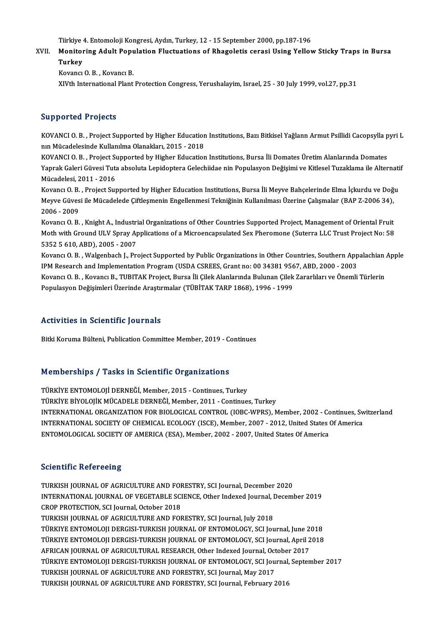Tiirkiye 4. Entomoloji Kongresi, Aydın, Turkey, 12 - 15 September 2000, pp.187-196<br>Manitaring Adult Benulation Elustuations of Bhagalatis sensei Heing Yolloy

### Tiirkiye 4. Entomoloji Kongresi, Aydın, Turkey, 12 - 15 September 2000, pp.187-196<br>XVII. Monitoring Adult Population Fluctuations of Rhagoletis cerasi Using Yellow Sticky Traps in Bursa<br>Turkey Tiirkiye<br>Monitoi<br>Turkey<br><sup>Kovono</sup>i Monitoring Adult Pop<mark>u</mark><br>Turkey<br>Kovancı O.B., Kovancı B.<br>Y.V.'th International Plant Turkey<br>Kovancı O. B. , Kovancı B.<br>XIVth International Plant Protection Congress, Yerushalayim, Israel, 25 - 30 July 1999, vol.27, pp.31

#### Supported Projects

Supported Projects<br>KOVANCI O.B. , Project Supported by Higher Education Institutions, Bazı Bitkisel Yağlann Armut Psillidi Cacopsylla pyri L<br>nın Mücadelesinde Kullanılma Olanakları, 2015–2019 ning porton in 1930<br>1990 - Kovanci O. B. , Project Supported by Higher Education<br>1991 - Mücadelesinde Kullanılma Olanakları, 2015 - 2018<br>1992 - Project Supported by Higher Education KOVANCI O. B. , Project Supported by Higher Education Institutions, Bazı Bitkisel Yağlann Armut Psillidi Cacopsylla p<br>nın Mücadelesinde Kullanılma Olanakları, 2015 - 2018<br>KOVANCI O. B. , Project Supported by Higher Educati

nın Mücadelesinde Kullanılma Olanakları, 2015 - 2018<br>KOVANCI O. B. , Project Supported by Higher Education Institutions, Bursa İli Domates Üretim Alanlarında Domates<br>Yaprak Galeri Güvesi Tuta absoluta Lepidoptera Gelechiid KOVANCI O. B. , Project St<br>Yaprak Galeri Güvesi Tuta<br>Mücadelesi, 2011 - 2016<br>Kovang O. B. , Project Sur Yaprak Galeri Güvesi Tuta absoluta Lepidoptera Gelechiidae nin Populasyon Değişimi ve Kitlesel Tuzaklama ile Alternati<br>Mücadelesi, 2011 - 2016<br>Kovancı O. B. , Project Supported by Higher Education Institutions, Bursa İli M

Mücadelesi, 2011 - 2016<br>Kovancı O. B. , Project Supported by Higher Education Institutions, Bursa İli Meyve Bahçelerinde Elma İçkurdu ve Doğ<br>Meyve Güvesi ile Mücadelede Çiftleşmenin Engellenmesi Tekniğinin Kullanılması Üze Kovancı O. B.<br>Meyve Güves<br>2006 - 2009<br>Kovancı O. B Meyve Güvesi ile Mücadelede Çiftleşmenin Engellenmesi Tekniğinin Kullanılması Üzerine Çalışmalar (BAP Z-2006 34),<br>2006 - 2009<br>Kovancı O. B. , Knight A., Industrial Organizations of Other Countries Supported Project, Manage

2006 - 2009<br>Kovancı O. B. , Knight A., Industrial Organizations of Other Countries Supported Project, Management of Oriental Fruit<br>Moth with Ground ULV Spray Applications of a Microencapsulated Sex Pheromone (Suterra LLC T Kovancı O. B. , Knight A., Industri<br>Moth with Ground ULV Spray Ap<br>5352 5 610, ABD), 2005 - 2007<br>Kovancı O. B., Walsanbash J. Br. Moth with Ground ULV Spray Applications of a Microencapsulated Sex Pheromone (Suterra LLC Trust Project No: 58<br>5352 5 610, ABD), 2005 - 2007<br>Kovancı O. B. , Walgenbach J., Project Supported by Public Organizations in Other

5352 5 610, ABD), 2005 - 2007<br>Kovancı O. B. , Walgenbach J., Project Supported by Public Organizations in Other Countries, Southern App<br>IPM Research and Implementation Program (USDA CSREES, Grant no: 00 34381 9567, ABD, 20 Kovancı O. B. , Walgenbach J., Project Supported by Public Organizations in Other Countries, Southern Appalachian<br>IPM Research and Implementation Program (USDA CSREES, Grant no: 00 34381 9567, ABD, 2000 - 2003<br>Kovancı O. B IPM Research and Implementation Program (USDA CSREES, Grant no: 00 34381 9567, ABD, 2000 - 2003<br>Kovancı O. B. , Kovancı B., TUBITAK Project, Bursa İli Çilek Alanlarında Bulunan Çilek Zararlıları ve Önemli Türlerin<br>Populasy

### Activities in Scientific Journals

Bitki Koruma Bülteni, Publication Committee Member, 2019 - Continues

### Memberships / Tasks in Scientific Organizations

TÜRKİYE ENTOMOLOJİ DERNEĞİ, Member, 2015 - Continues, Turkey TÜRKİYE BİYOLOJİK MÜCADELE DERNEĞİ, Member, 2011 - Continues, Turkey TÜRKİYE ENTOMOLOJİ DERNEĞİ, Member, 2015 - Continues, Turkey<br>TÜRKİYE BİYOLOJİK MÜCADELE DERNEĞİ, Member, 2011 - Continues, Turkey<br>INTERNATIONAL ORGANIZATION FOR BIOLOGICAL CONTROL (IOBC-WPRS), Member, 2002 - Continues, Swi TÜRKİYE BİYOLOJİK MÜCADELE DERNEĞİ, Member, 2011 - Continues, Turkey<br>INTERNATIONAL ORGANIZATION FOR BIOLOGICAL CONTROL (IOBC-WPRS), Member, 2002 - Continues, Sw<br>INTERNATIONAL SOCIETY OF CHEMICAL ECOLOGY (ISCE), Member, 200 INTERNATIONAL SOCIETY OF CHEMICAL ECOLOGY (ISCE), Member, 2007 - 2012, United States Of America<br>ENTOMOLOGICAL SOCIETY OF AMERICA (ESA), Member, 2002 - 2007, United States Of America

#### **Scientific Refereeing**

Scientific Refereeing<br>TURKISH JOURNAL OF AGRICULTURE AND FORESTRY, SCI Journal, December 2020<br>INTERNATIONAL JOURNAL OF VECETABLE SCIENCE, Other Indexed Journal, Decemb INTERNATIONAL JOURNAL OF VEGETABLE SCIENCE, Other Indexed Journal, December 2019<br>CROP PROTECTION, SCI Journal, October 2018 TURKISH JOURNAL OF AGRICULTURE AND FOR<br>INTERNATIONAL JOURNAL OF VEGETABLE SCI<br>CROP PROTECTION, SCI Journal, October 2018<br>TURKISH JOURNAL OF ACRICULTURE AND FOL TURKISH JOURNAL OF AGRICULTURE AND FORESTRY, SCI Journal, July 2018 TÜRKIYEENTOMOLOJIDERGISI-TURKISHJOURNALOF ENTOMOLOGY,SCI Journal, June 2018 TURKISH JOURNAL OF AGRICULTURE AND FORESTRY, SCI Journal, July 2018<br>TÜRKIYE ENTOMOLOJI DERGISI-TURKISH JOURNAL OF ENTOMOLOGY, SCI Journal, June 2018<br>TÜRKIYE ENTOMOLOJI DERGISI-TURKISH JOURNAL OF ENTOMOLOGY, SCI Journal, Ap TÜRKIYE ENTOMOLOJI DERGISI-TURKISH JOURNAL OF ENTOMOLOGY, SCI Journal, June 2<br>TÜRKIYE ENTOMOLOJI DERGISI-TURKISH JOURNAL OF ENTOMOLOGY, SCI Journal, April 2<br>AFRICAN JOURNAL OF AGRICULTURAL RESEARCH, Other Indexed Journal, TÜRKIYE ENTOMOLOJI DERGISI-TURKISH JOURNAL OF ENTOMOLOGY, SCI Journal, April 2018<br>AFRICAN JOURNAL OF AGRICULTURAL RESEARCH, Other Indexed Journal, October 2017<br>TÜRKIYE ENTOMOLOJI DERGISI-TURKISH JOURNAL OF ENTOMOLOGY, SCI AFRICAN JOURNAL OF AGRICULTURAL RESEARCH, Other Indexed Journal, October 2017<br>TÜRKIYE ENTOMOLOJI DERGISI-TURKISH JOURNAL OF ENTOMOLOGY, SCI Journal, September 2017<br>TURKISH JOURNAL OF AGRICULTURE AND FORESTRY, SCI Journal, TURKISH JOURNAL OF AGRICULTURE AND FORESTRY, SCI Journal, February 2016